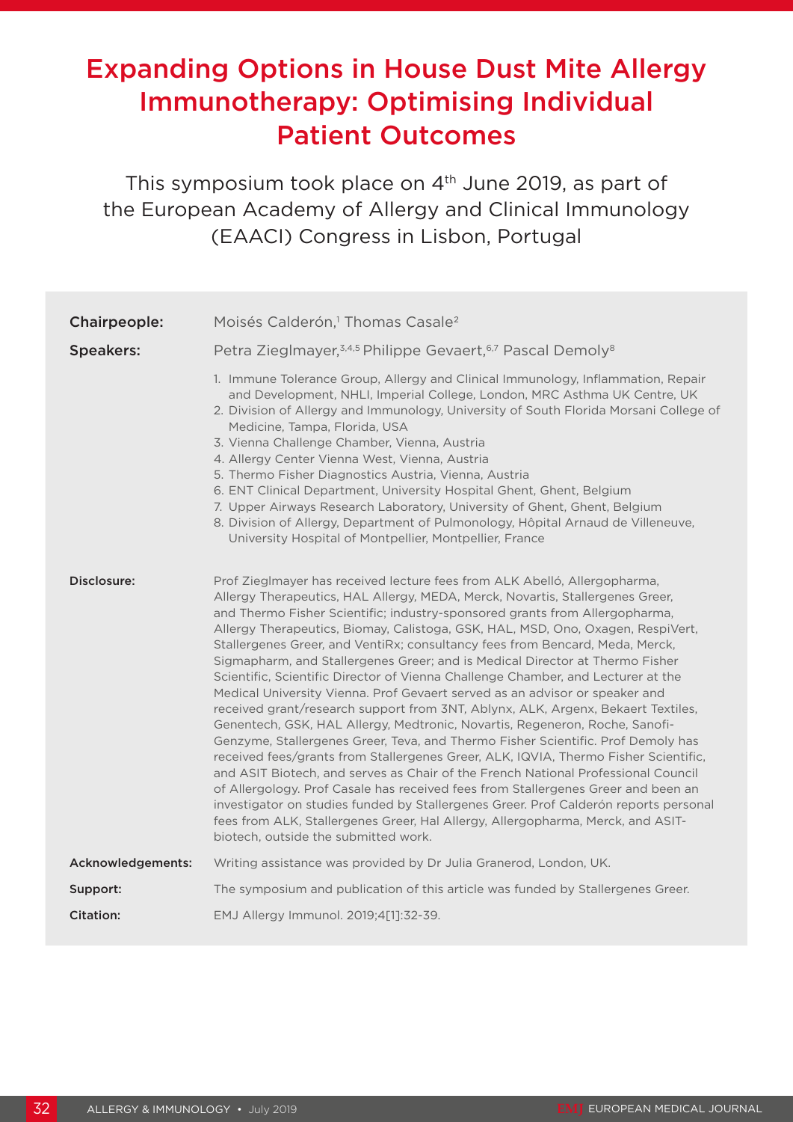# Expanding Options in House Dust Mite Allergy Immunotherapy: Optimising Individual Patient Outcomes

This symposium took place on 4<sup>th</sup> June 2019, as part of the European Academy of Allergy and Clinical Immunology (EAACI) Congress in Lisbon, Portugal

| Chairpeople:      | Moisés Calderón, <sup>1</sup> Thomas Casale <sup>2</sup>                                                                                                                                                                                                                                                                                                                                                                                                                                                                                                                                                                                                                                                                                                                                                                                                                                                                                                                                                                                                                                                                                                                                                                                                                                                                                                                                                   |
|-------------------|------------------------------------------------------------------------------------------------------------------------------------------------------------------------------------------------------------------------------------------------------------------------------------------------------------------------------------------------------------------------------------------------------------------------------------------------------------------------------------------------------------------------------------------------------------------------------------------------------------------------------------------------------------------------------------------------------------------------------------------------------------------------------------------------------------------------------------------------------------------------------------------------------------------------------------------------------------------------------------------------------------------------------------------------------------------------------------------------------------------------------------------------------------------------------------------------------------------------------------------------------------------------------------------------------------------------------------------------------------------------------------------------------------|
| <b>Speakers:</b>  | Petra Zieglmayer, 3,4,5 Philippe Gevaert, 6,7 Pascal Demoly <sup>8</sup>                                                                                                                                                                                                                                                                                                                                                                                                                                                                                                                                                                                                                                                                                                                                                                                                                                                                                                                                                                                                                                                                                                                                                                                                                                                                                                                                   |
|                   | 1. Immune Tolerance Group, Allergy and Clinical Immunology, Inflammation, Repair<br>and Development, NHLI, Imperial College, London, MRC Asthma UK Centre, UK<br>2. Division of Allergy and Immunology, University of South Florida Morsani College of<br>Medicine, Tampa, Florida, USA<br>3. Vienna Challenge Chamber, Vienna, Austria<br>4. Allergy Center Vienna West, Vienna, Austria<br>5. Thermo Fisher Diagnostics Austria, Vienna, Austria<br>6. ENT Clinical Department, University Hospital Ghent, Ghent, Belgium<br>7. Upper Airways Research Laboratory, University of Ghent, Ghent, Belgium<br>8. Division of Allergy, Department of Pulmonology, Hôpital Arnaud de Villeneuve,<br>University Hospital of Montpellier, Montpellier, France                                                                                                                                                                                                                                                                                                                                                                                                                                                                                                                                                                                                                                                    |
| Disclosure:       | Prof Zieglmayer has received lecture fees from ALK Abelló, Allergopharma,<br>Allergy Therapeutics, HAL Allergy, MEDA, Merck, Novartis, Stallergenes Greer,<br>and Thermo Fisher Scientific; industry-sponsored grants from Allergopharma,<br>Allergy Therapeutics, Biomay, Calistoga, GSK, HAL, MSD, Ono, Oxagen, RespiVert,<br>Stallergenes Greer, and VentiRx; consultancy fees from Bencard, Meda, Merck,<br>Sigmapharm, and Stallergenes Greer; and is Medical Director at Thermo Fisher<br>Scientific, Scientific Director of Vienna Challenge Chamber, and Lecturer at the<br>Medical University Vienna. Prof Gevaert served as an advisor or speaker and<br>received grant/research support from 3NT, Ablynx, ALK, Argenx, Bekaert Textiles,<br>Genentech, GSK, HAL Allergy, Medtronic, Novartis, Regeneron, Roche, Sanofi-<br>Genzyme, Stallergenes Greer, Teva, and Thermo Fisher Scientific. Prof Demoly has<br>received fees/grants from Stallergenes Greer, ALK, IQVIA, Thermo Fisher Scientific,<br>and ASIT Biotech, and serves as Chair of the French National Professional Council<br>of Allergology. Prof Casale has received fees from Stallergenes Greer and been an<br>investigator on studies funded by Stallergenes Greer. Prof Calderón reports personal<br>fees from ALK, Stallergenes Greer, Hal Allergy, Allergopharma, Merck, and ASIT-<br>biotech, outside the submitted work. |
| Acknowledgements: | Writing assistance was provided by Dr Julia Granerod, London, UK.                                                                                                                                                                                                                                                                                                                                                                                                                                                                                                                                                                                                                                                                                                                                                                                                                                                                                                                                                                                                                                                                                                                                                                                                                                                                                                                                          |
| Support:          | The symposium and publication of this article was funded by Stallergenes Greer.                                                                                                                                                                                                                                                                                                                                                                                                                                                                                                                                                                                                                                                                                                                                                                                                                                                                                                                                                                                                                                                                                                                                                                                                                                                                                                                            |
| <b>Citation:</b>  | EMJ Allergy Immunol. 2019;4[1]:32-39.                                                                                                                                                                                                                                                                                                                                                                                                                                                                                                                                                                                                                                                                                                                                                                                                                                                                                                                                                                                                                                                                                                                                                                                                                                                                                                                                                                      |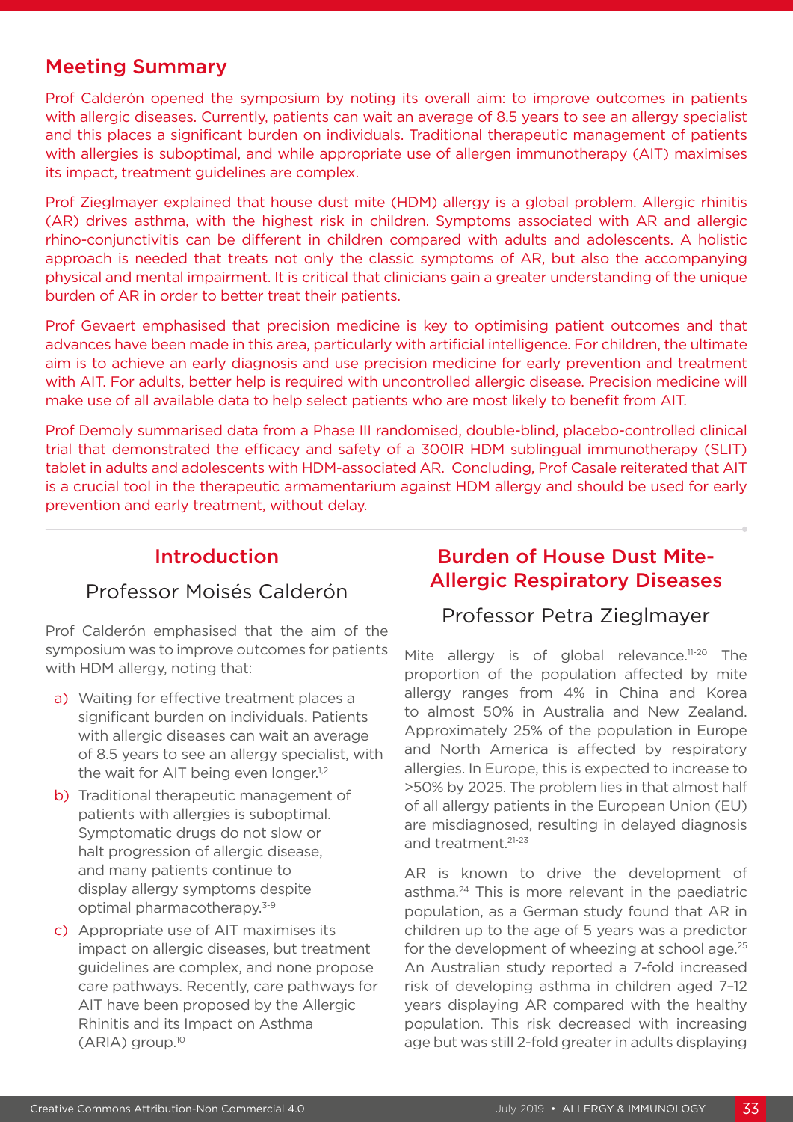### Meeting Summary

Prof Calderón opened the symposium by noting its overall aim: to improve outcomes in patients with allergic diseases. Currently, patients can wait an average of 8.5 years to see an allergy specialist and this places a significant burden on individuals. Traditional therapeutic management of patients with allergies is suboptimal, and while appropriate use of allergen immunotherapy (AIT) maximises its impact, treatment guidelines are complex.

Prof Zieglmayer explained that house dust mite (HDM) allergy is a global problem. Allergic rhinitis (AR) drives asthma, with the highest risk in children. Symptoms associated with AR and allergic rhino-conjunctivitis can be different in children compared with adults and adolescents. A holistic approach is needed that treats not only the classic symptoms of AR, but also the accompanying physical and mental impairment. It is critical that clinicians gain a greater understanding of the unique burden of AR in order to better treat their patients.

Prof Gevaert emphasised that precision medicine is key to optimising patient outcomes and that advances have been made in this area, particularly with artificial intelligence. For children, the ultimate aim is to achieve an early diagnosis and use precision medicine for early prevention and treatment with AIT. For adults, better help is required with uncontrolled allergic disease. Precision medicine will make use of all available data to help select patients who are most likely to benefit from AIT.

Prof Demoly summarised data from a Phase III randomised, double-blind, placebo-controlled clinical trial that demonstrated the efficacy and safety of a 300IR HDM sublingual immunotherapy (SLIT) tablet in adults and adolescents with HDM-associated AR. Concluding, Prof Casale reiterated that AIT is a crucial tool in the therapeutic armamentarium against HDM allergy and should be used for early prevention and early treatment, without delay.

### Introduction

### Professor Moisés Calderón

Prof Calderón emphasised that the aim of the symposium was to improve outcomes for patients with HDM allergy, noting that:

- a) Waiting for effective treatment places a significant burden on individuals. Patients with allergic diseases can wait an average of 8.5 years to see an allergy specialist, with the wait for AIT being even longer.<sup>1,2</sup>
- b) Traditional therapeutic management of patients with allergies is suboptimal. Symptomatic drugs do not slow or halt progression of allergic disease, and many patients continue to display allergy symptoms despite optimal pharmacotherapy.3-9
- c) Appropriate use of AIT maximises its impact on allergic diseases, but treatment guidelines are complex, and none propose care pathways. Recently, care pathways for AIT have been proposed by the Allergic Rhinitis and its Impact on Asthma (ARIA) group.10

### Burden of House Dust Mite-Allergic Respiratory Diseases

### Professor Petra Zieglmayer

Mite allergy is of global relevance.<sup>11-20</sup> The proportion of the population affected by mite allergy ranges from 4% in China and Korea to almost 50% in Australia and New Zealand. Approximately 25% of the population in Europe and North America is affected by respiratory allergies. In Europe, this is expected to increase to >50% by 2025. The problem lies in that almost half of all allergy patients in the European Union (EU) are misdiagnosed, resulting in delayed diagnosis and treatment.21-23

AR is known to drive the development of asthma.24 This is more relevant in the paediatric population, as a German study found that AR in children up to the age of 5 years was a predictor for the development of wheezing at school age.<sup>25</sup> An Australian study reported a 7-fold increased risk of developing asthma in children aged 7–12 years displaying AR compared with the healthy population. This risk decreased with increasing age but was still 2-fold greater in adults displaying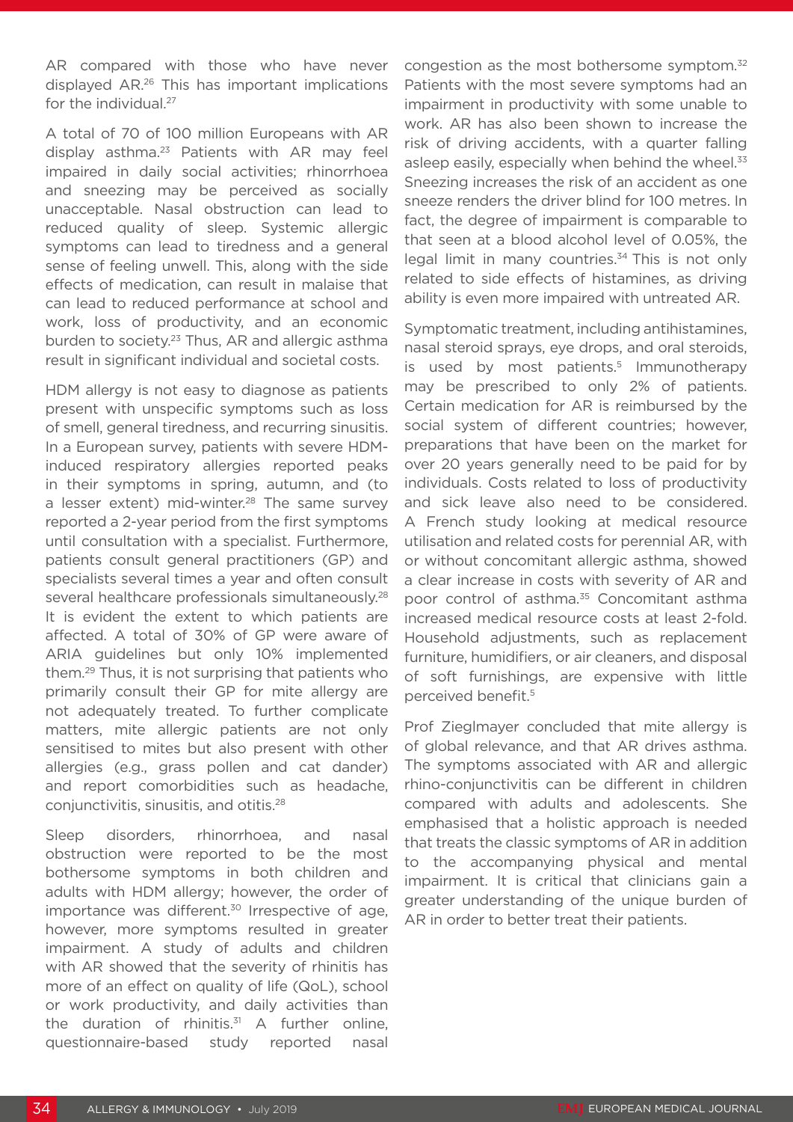AR compared with those who have never displayed AR.26 This has important implications for the individual.<sup>27</sup>

A total of 70 of 100 million Europeans with AR display asthma.<sup>23</sup> Patients with AR may feel impaired in daily social activities; rhinorrhoea and sneezing may be perceived as socially unacceptable. Nasal obstruction can lead to reduced quality of sleep. Systemic allergic symptoms can lead to tiredness and a general sense of feeling unwell. This, along with the side effects of medication, can result in malaise that can lead to reduced performance at school and work, loss of productivity, and an economic burden to society.<sup>23</sup> Thus, AR and allergic asthma result in significant individual and societal costs.

HDM allergy is not easy to diagnose as patients present with unspecific symptoms such as loss of smell, general tiredness, and recurring sinusitis. In a European survey, patients with severe HDMinduced respiratory allergies reported peaks in their symptoms in spring, autumn, and (to a lesser extent) mid-winter.<sup>28</sup> The same survey reported a 2-year period from the first symptoms until consultation with a specialist. Furthermore, patients consult general practitioners (GP) and specialists several times a year and often consult several healthcare professionals simultaneously.<sup>28</sup> It is evident the extent to which patients are affected. A total of 30% of GP were aware of ARIA guidelines but only 10% implemented them.29 Thus, it is not surprising that patients who primarily consult their GP for mite allergy are not adequately treated. To further complicate matters, mite allergic patients are not only sensitised to mites but also present with other allergies (e.g., grass pollen and cat dander) and report comorbidities such as headache, conjunctivitis, sinusitis, and otitis.28

Sleep disorders, rhinorrhoea, and nasal obstruction were reported to be the most bothersome symptoms in both children and adults with HDM allergy; however, the order of importance was different. $30$  Irrespective of age, however, more symptoms resulted in greater impairment. A study of adults and children with AR showed that the severity of rhinitis has more of an effect on quality of life (QoL), school or work productivity, and daily activities than the duration of rhinitis.<sup>31</sup> A further online, questionnaire-based study reported nasal

congestion as the most bothersome symptom.32 Patients with the most severe symptoms had an impairment in productivity with some unable to work. AR has also been shown to increase the risk of driving accidents, with a quarter falling asleep easily, especially when behind the wheel.<sup>33</sup> Sneezing increases the risk of an accident as one sneeze renders the driver blind for 100 metres. In fact, the degree of impairment is comparable to that seen at a blood alcohol level of 0.05%, the legal limit in many countries.<sup>34</sup> This is not only related to side effects of histamines, as driving ability is even more impaired with untreated AR.

Symptomatic treatment, including antihistamines, nasal steroid sprays, eye drops, and oral steroids, is used by most patients.<sup>5</sup> Immunotherapy may be prescribed to only 2% of patients. Certain medication for AR is reimbursed by the social system of different countries; however, preparations that have been on the market for over 20 years generally need to be paid for by individuals. Costs related to loss of productivity and sick leave also need to be considered. A French study looking at medical resource utilisation and related costs for perennial AR, with or without concomitant allergic asthma, showed a clear increase in costs with severity of AR and poor control of asthma.<sup>35</sup> Concomitant asthma increased medical resource costs at least 2-fold. Household adjustments, such as replacement furniture, humidifiers, or air cleaners, and disposal of soft furnishings, are expensive with little perceived benefit.5

Prof Zieglmayer concluded that mite allergy is of global relevance, and that AR drives asthma. The symptoms associated with AR and allergic rhino-conjunctivitis can be different in children compared with adults and adolescents. She emphasised that a holistic approach is needed that treats the classic symptoms of AR in addition to the accompanying physical and mental impairment. It is critical that clinicians gain a greater understanding of the unique burden of AR in order to better treat their patients.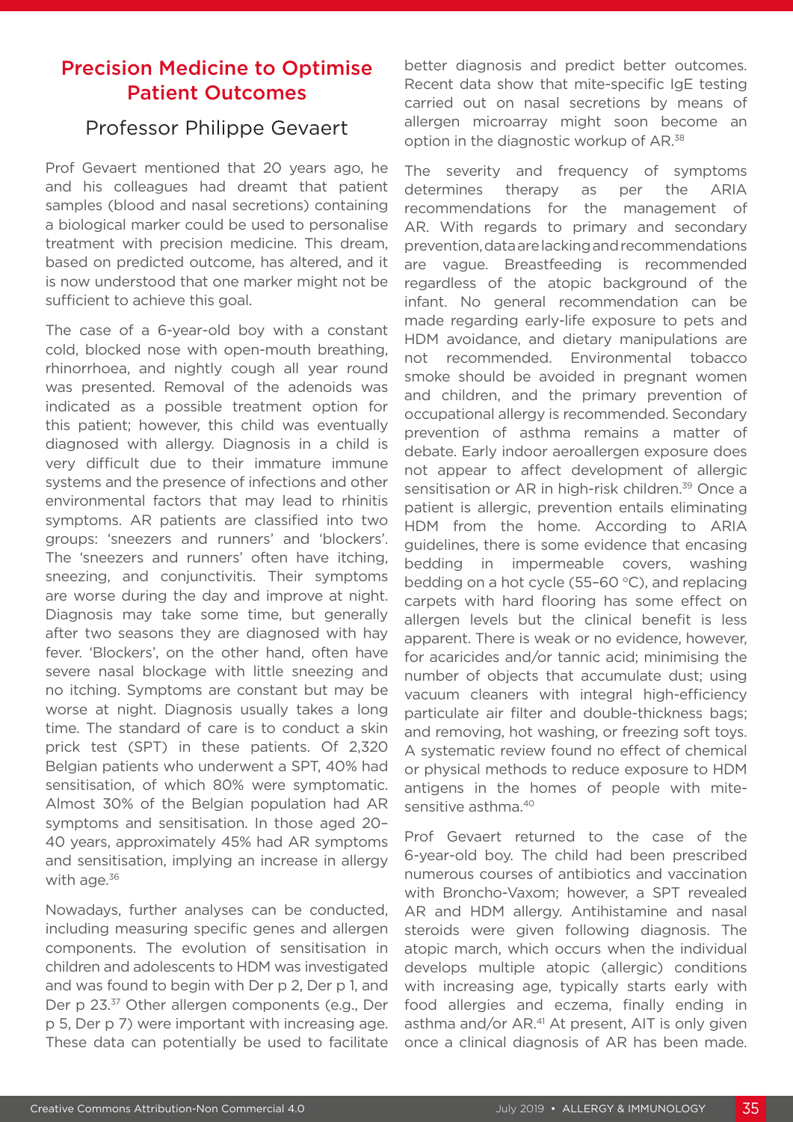## Precision Medicine to Optimise Patient Outcomes

#### Professor Philippe Gevaert

Prof Gevaert mentioned that 20 years ago, he and his colleagues had dreamt that patient samples (blood and nasal secretions) containing a biological marker could be used to personalise treatment with precision medicine. This dream, based on predicted outcome, has altered, and it is now understood that one marker might not be sufficient to achieve this goal.

The case of a 6-year-old boy with a constant cold, blocked nose with open-mouth breathing, rhinorrhoea, and nightly cough all year round was presented. Removal of the adenoids was indicated as a possible treatment option for this patient; however, this child was eventually diagnosed with allergy. Diagnosis in a child is very difficult due to their immature immune systems and the presence of infections and other environmental factors that may lead to rhinitis symptoms. AR patients are classified into two groups: 'sneezers and runners' and 'blockers'. The 'sneezers and runners' often have itching, sneezing, and conjunctivitis. Their symptoms are worse during the day and improve at night. Diagnosis may take some time, but generally after two seasons they are diagnosed with hay fever. 'Blockers', on the other hand, often have severe nasal blockage with little sneezing and no itching. Symptoms are constant but may be worse at night. Diagnosis usually takes a long time. The standard of care is to conduct a skin prick test (SPT) in these patients. Of 2,320 Belgian patients who underwent a SPT, 40% had sensitisation, of which 80% were symptomatic. Almost 30% of the Belgian population had AR symptoms and sensitisation. In those aged 20– 40 years, approximately 45% had AR symptoms and sensitisation, implying an increase in allergy with age.<sup>36</sup>

Nowadays, further analyses can be conducted, including measuring specific genes and allergen components. The evolution of sensitisation in children and adolescents to HDM was investigated and was found to begin with Der p 2, Der p 1, and Der p 23.37 Other allergen components (e.g., Der p 5, Der p 7) were important with increasing age. These data can potentially be used to facilitate

better diagnosis and predict better outcomes. Recent data show that mite-specific IgE testing carried out on nasal secretions by means of allergen microarray might soon become an option in the diagnostic workup of AR.38

The severity and frequency of symptoms determines therapy as per the ARIA recommendations for the management of AR. With regards to primary and secondary prevention, data are lacking and recommendations are vague. Breastfeeding is recommended regardless of the atopic background of the infant. No general recommendation can be made regarding early-life exposure to pets and HDM avoidance, and dietary manipulations are not recommended. Environmental tobacco smoke should be avoided in pregnant women and children, and the primary prevention of occupational allergy is recommended. Secondary prevention of asthma remains a matter of debate. Early indoor aeroallergen exposure does not appear to affect development of allergic sensitisation or AR in high-risk children.<sup>39</sup> Once a patient is allergic, prevention entails eliminating HDM from the home. According to ARIA guidelines, there is some evidence that encasing bedding in impermeable covers, washing bedding on a hot cycle (55-60 $\degree$ C), and replacing carpets with hard flooring has some effect on allergen levels but the clinical benefit is less apparent. There is weak or no evidence, however, for acaricides and/or tannic acid; minimising the number of objects that accumulate dust; using vacuum cleaners with integral high-efficiency particulate air filter and double-thickness bags; and removing, hot washing, or freezing soft toys. A systematic review found no effect of chemical or physical methods to reduce exposure to HDM antigens in the homes of people with mitesensitive asthma.<sup>40</sup>

Prof Gevaert returned to the case of the 6-year-old boy. The child had been prescribed numerous courses of antibiotics and vaccination with Broncho-Vaxom; however, a SPT revealed AR and HDM allergy. Antihistamine and nasal steroids were given following diagnosis. The atopic march, which occurs when the individual develops multiple atopic (allergic) conditions with increasing age, typically starts early with food allergies and eczema, finally ending in asthma and/or AR.<sup>41</sup> At present, AIT is only given once a clinical diagnosis of AR has been made.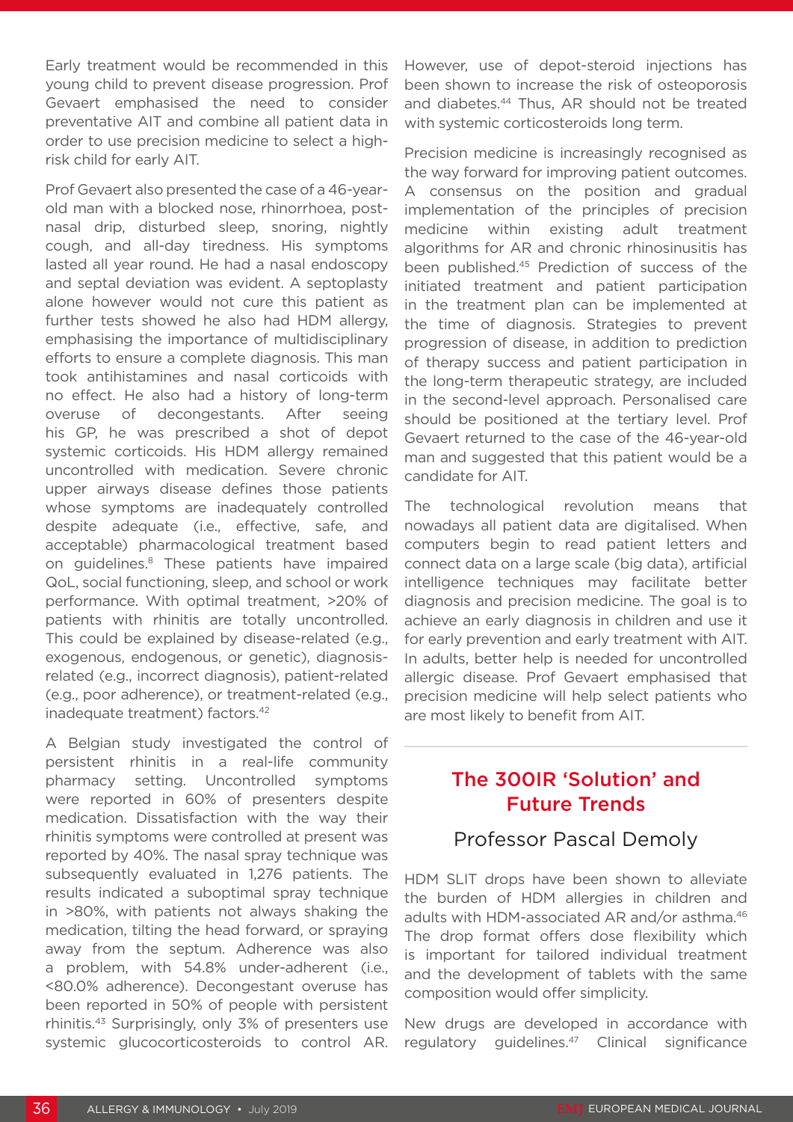Early treatment would be recommended in this young child to prevent disease progression. Prof Gevaert emphasised the need to consider preventative AIT and combine all patient data in order to use precision medicine to select a highrisk child for early AIT.

Prof Gevaert also presented the case of a 46-yearold man with a blocked nose, rhinorrhoea, postnasal drip, disturbed sleep, snoring, nightly cough, and all-day tiredness. His symptoms lasted all year round. He had a nasal endoscopy and septal deviation was evident. A septoplasty alone however would not cure this patient as further tests showed he also had HDM allergy, emphasising the importance of multidisciplinary efforts to ensure a complete diagnosis. This man took antihistamines and nasal corticoids with no effect. He also had a history of long-term overuse of decongestants. After seeing his GP, he was prescribed a shot of depot systemic corticoids. His HDM allergy remained uncontrolled with medication. Severe chronic upper airways disease defines those patients whose symptoms are inadequately controlled despite adequate (i.e., effective, safe, and acceptable) pharmacological treatment based on guidelines.8 These patients have impaired QoL, social functioning, sleep, and school or work performance. With optimal treatment, >20% of patients with rhinitis are totally uncontrolled. This could be explained by disease-related (e.g., exogenous, endogenous, or genetic), diagnosisrelated (e.g., incorrect diagnosis), patient-related (e.g., poor adherence), or treatment-related (e.g., inadequate treatment) factors.42

A Belgian study investigated the control of persistent rhinitis in a real-life community pharmacy setting. Uncontrolled symptoms were reported in 60% of presenters despite medication. Dissatisfaction with the way their rhinitis symptoms were controlled at present was reported by 40%. The nasal spray technique was subsequently evaluated in 1,276 patients. The results indicated a suboptimal spray technique in >80%, with patients not always shaking the medication, tilting the head forward, or spraying away from the septum. Adherence was also a problem, with 54.8% under-adherent (i.e., <80.0% adherence). Decongestant overuse has been reported in 50% of people with persistent rhinitis.43 Surprisingly, only 3% of presenters use systemic glucocorticosteroids to control AR.

However, use of depot-steroid injections has been shown to increase the risk of osteoporosis and diabetes.44 Thus, AR should not be treated with systemic corticosteroids long term.

Precision medicine is increasingly recognised as the way forward for improving patient outcomes. A consensus on the position and gradual implementation of the principles of precision medicine within existing adult treatment algorithms for AR and chronic rhinosinusitis has been published.45 Prediction of success of the initiated treatment and patient participation in the treatment plan can be implemented at the time of diagnosis. Strategies to prevent progression of disease, in addition to prediction of therapy success and patient participation in the long-term therapeutic strategy, are included in the second-level approach. Personalised care should be positioned at the tertiary level. Prof Gevaert returned to the case of the 46-year-old man and suggested that this patient would be a candidate for AIT.

The technological revolution means that nowadays all patient data are digitalised. When computers begin to read patient letters and connect data on a large scale (big data), artificial intelligence techniques may facilitate better diagnosis and precision medicine. The goal is to achieve an early diagnosis in children and use it for early prevention and early treatment with AIT. In adults, better help is needed for uncontrolled allergic disease. Prof Gevaert emphasised that precision medicine will help select patients who are most likely to benefit from AIT.

### The 300IR 'Solution' and Future Trends

### Professor Pascal Demoly

HDM SLIT drops have been shown to alleviate the burden of HDM allergies in children and adults with HDM-associated AR and/or asthma.<sup>46</sup> The drop format offers dose flexibility which is important for tailored individual treatment and the development of tablets with the same composition would offer simplicity.

New drugs are developed in accordance with regulatory guidelines.47 Clinical significance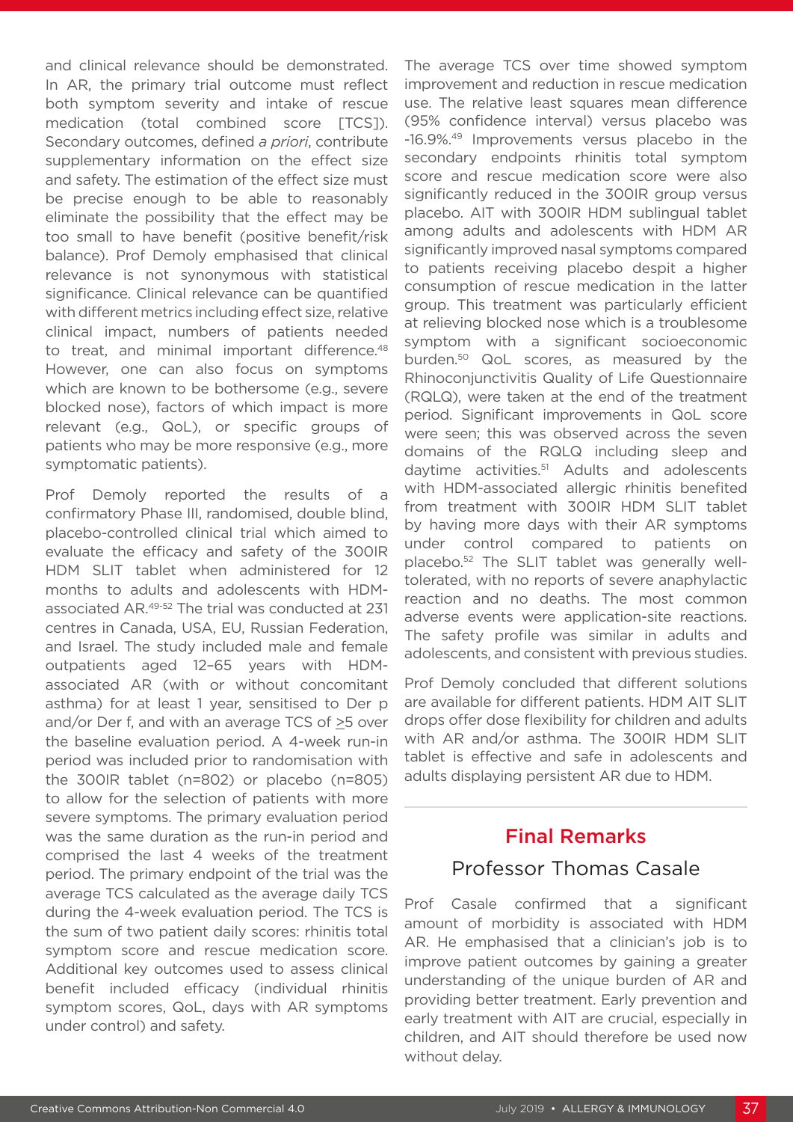and clinical relevance should be demonstrated. In AR, the primary trial outcome must reflect both symptom severity and intake of rescue medication (total combined score [TCS]). Secondary outcomes, defined *a priori*, contribute supplementary information on the effect size and safety. The estimation of the effect size must be precise enough to be able to reasonably eliminate the possibility that the effect may be too small to have benefit (positive benefit/risk balance). Prof Demoly emphasised that clinical relevance is not synonymous with statistical significance. Clinical relevance can be quantified with different metrics including effect size, relative clinical impact, numbers of patients needed to treat, and minimal important difference.<sup>48</sup> However, one can also focus on symptoms which are known to be bothersome (e.g., severe blocked nose), factors of which impact is more relevant (e.g., QoL), or specific groups of patients who may be more responsive (e.g., more symptomatic patients).

Prof Demoly reported the results of a confirmatory Phase III, randomised, double blind, placebo-controlled clinical trial which aimed to evaluate the efficacy and safety of the 300IR HDM SLIT tablet when administered for 12 months to adults and adolescents with HDMassociated AR.49-52 The trial was conducted at 231 centres in Canada, USA, EU, Russian Federation, and Israel. The study included male and female outpatients aged 12–65 years with HDMassociated AR (with or without concomitant asthma) for at least 1 year, sensitised to Der p and/or Der f, and with an average TCS of >5 over the baseline evaluation period. A 4-week run-in period was included prior to randomisation with the 300IR tablet (n=802) or placebo (n=805) to allow for the selection of patients with more severe symptoms. The primary evaluation period was the same duration as the run-in period and comprised the last 4 weeks of the treatment period. The primary endpoint of the trial was the average TCS calculated as the average daily TCS during the 4-week evaluation period. The TCS is the sum of two patient daily scores: rhinitis total symptom score and rescue medication score. Additional key outcomes used to assess clinical benefit included efficacy (individual rhinitis symptom scores, QoL, days with AR symptoms under control) and safety.

The average TCS over time showed symptom improvement and reduction in rescue medication use. The relative least squares mean difference (95% confidence interval) versus placebo was -16.9%.49 Improvements versus placebo in the secondary endpoints rhinitis total symptom score and rescue medication score were also significantly reduced in the 300IR group versus placebo. AIT with 300IR HDM sublingual tablet among adults and adolescents with HDM AR significantly improved nasal symptoms compared to patients receiving placebo despit a higher consumption of rescue medication in the latter group. This treatment was particularly efficient at relieving blocked nose which is a troublesome symptom with a significant socioeconomic burden.50 QoL scores, as measured by the Rhinoconjunctivitis Quality of Life Questionnaire (RQLQ), were taken at the end of the treatment period. Significant improvements in QoL score were seen; this was observed across the seven domains of the RQLQ including sleep and daytime activities.51 Adults and adolescents with HDM-associated allergic rhinitis benefited from treatment with 300IR HDM SLIT tablet by having more days with their AR symptoms under control compared to patients on placebo.52 The SLIT tablet was generally welltolerated, with no reports of severe anaphylactic reaction and no deaths. The most common adverse events were application-site reactions. The safety profile was similar in adults and adolescents, and consistent with previous studies.

Prof Demoly concluded that different solutions are available for different patients. HDM AIT SLIT drops offer dose flexibility for children and adults with AR and/or asthma. The 300IR HDM SLIT tablet is effective and safe in adolescents and adults displaying persistent AR due to HDM.

### Final Remarks

### Professor Thomas Casale

Prof Casale confirmed that a significant amount of morbidity is associated with HDM AR. He emphasised that a clinician's job is to improve patient outcomes by gaining a greater understanding of the unique burden of AR and providing better treatment. Early prevention and early treatment with AIT are crucial, especially in children, and AIT should therefore be used now without delay.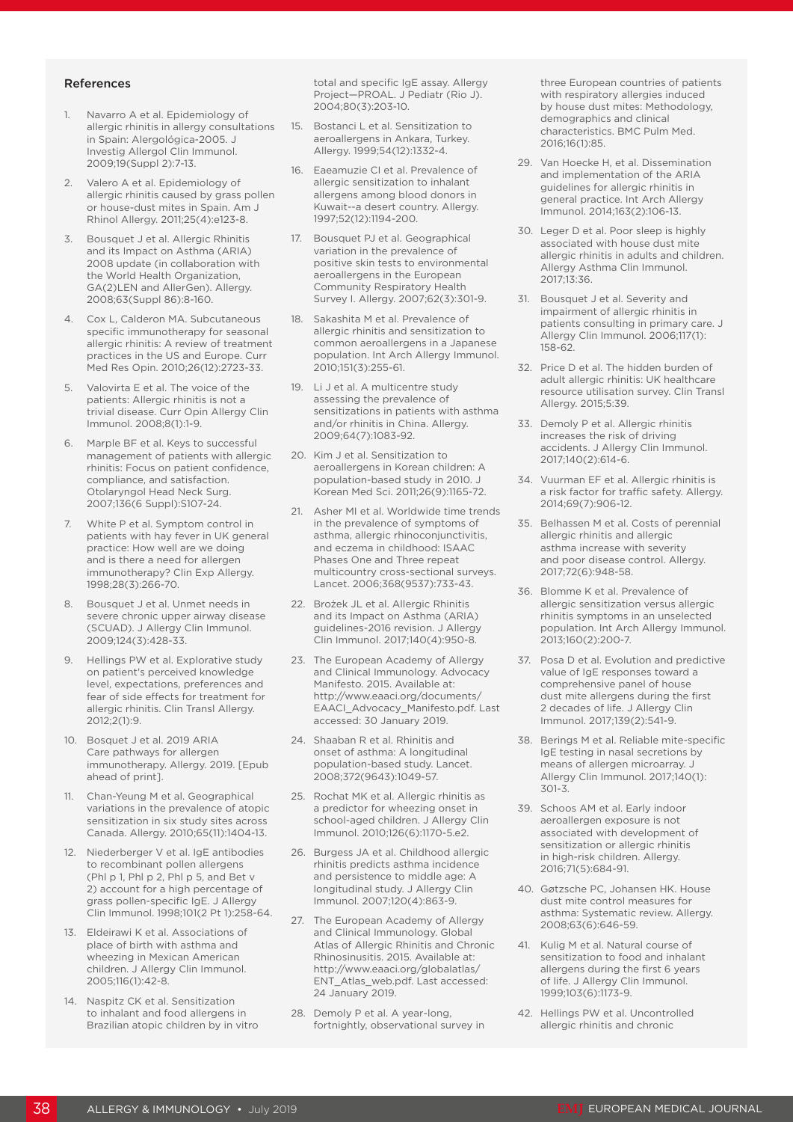#### References

- 1. Navarro A et al. Epidemiology of allergic rhinitis in allergy consultations in Spain: Alergológica-2005. J Investig Allergol Clin Immunol. 2009;19(Suppl 2):7-13.
- 2. Valero A et al. Epidemiology of allergic rhinitis caused by grass pollen or house-dust mites in Spain. Am J Rhinol Allergy. 2011;25(4):e123-8.
- 3. Bousquet J et al. Allergic Rhinitis and its Impact on Asthma (ARIA) 2008 update (in collaboration with the World Health Organization, GA(2)LEN and AllerGen). Allergy. 2008;63(Suppl 86):8-160.
- 4. Cox L, Calderon MA. Subcutaneous specific immunotherapy for seasonal allergic rhinitis: A review of treatment practices in the US and Europe. Curr Med Res Opin. 2010;26(12):2723-33.
- Valovirta E et al. The voice of the patients: Allergic rhinitis is not a trivial disease. Curr Opin Allergy Clin Immunol. 2008;8(1):1-9.
- 6. Marple BF et al. Keys to successful management of patients with allergic rhinitis: Focus on patient confidence, compliance, and satisfaction. Otolaryngol Head Neck Surg. 2007;136(6 Suppl):S107-24.
- 7. White P et al. Symptom control in patients with hay fever in UK general practice: How well are we doing and is there a need for allergen immunotherapy? Clin Exp Allergy. 1998;28(3):266-70.
- 8. Bousquet J et al. Unmet needs in severe chronic upper airway disease (SCUAD). J Allergy Clin Immunol. 2009;124(3):428-33.
- 9. Hellings PW et al. Explorative study on patient's perceived knowledge level, expectations, preferences and fear of side effects for treatment for allergic rhinitis. Clin Transl Allergy. 2012;2(1):9.
- 10. Bosquet J et al. 2019 ARIA Care pathways for allergen immunotherapy. Allergy. 2019. [Epub ahead of print].
- 11. Chan-Yeung M et al. Geographical variations in the prevalence of atopic sensitization in six study sites across Canada. Allergy. 2010;65(11):1404-13.
- 12. Niederberger V et al. IgE antibodies to recombinant pollen allergens (Phl p 1, Phl p 2, Phl p 5, and Bet v 2) account for a high percentage of grass pollen-specific IgE. J Allergy Clin Immunol. 1998;101(2 Pt 1):258-64.
- 13. Eldeirawi K et al. Associations of place of birth with asthma and wheezing in Mexican American children. J Allergy Clin Immunol. 2005;116(1):42-8.
- 14. Naspitz CK et al. Sensitization to inhalant and food allergens in Brazilian atopic children by in vitro

total and specific IgE assay. Allergy Project—PROAL. J Pediatr (Rio J). 2004;80(3):203-10.

- 15. Bostanci L et al. Sensitization to aeroallergens in Ankara, Turkey. Allergy. 1999;54(12):1332-4.
- 16. Eaeamuzie CI et al. Prevalence of allergic sensitization to inhalant allergens among blood donors in Kuwait--a desert country. Allergy. 1997;52(12):1194-200.
- 17. Bousquet PJ et al. Geographical variation in the prevalence of positive skin tests to environmental aeroallergens in the European Community Respiratory Health Survey I. Allergy. 2007;62(3):301-9.
- 18. Sakashita M et al. Prevalence of allergic rhinitis and sensitization to common aeroallergens in a Japanese population. Int Arch Allergy Immunol. 2010;151(3):255-61.
- 19. Li J et al. A multicentre study assessing the prevalence of sensitizations in patients with asthma and/or rhinitis in China. Allergy. 2009;64(7):1083-92.
- 20. Kim J et al. Sensitization to aeroallergens in Korean children: A population-based study in 2010. J Korean Med Sci. 2011;26(9):1165-72.
- 21. Asher MI et al. Worldwide time trends in the prevalence of symptoms of asthma, allergic rhinoconjunctivitis, and eczema in childhood: ISAAC Phases One and Three repeat multicountry cross-sectional surveys. Lancet. 2006;368(9537):733-43.
- 22. Brożek JL et al. Allergic Rhinitis and its Impact on Asthma (ARIA) guidelines-2016 revision. J Allergy Clin Immunol. 2017;140(4):950-8.
- 23. The European Academy of Allergy and Clinical Immunology. Advocacy Manifesto. 2015. Available at: http://www.eaaci.org/documents/ EAACI\_Advocacy\_Manifesto.pdf. Last accessed: 30 January 2019.
- 24. Shaaban R et al. Rhinitis and onset of asthma: A longitudinal population-based study. Lancet. 2008;372(9643):1049-57.
- 25. Rochat MK et al. Allergic rhinitis as a predictor for wheezing onset in school-aged children. J Allergy Clin Immunol. 2010;126(6):1170-5.e2.
- 26. Burgess JA et al. Childhood allergic rhinitis predicts asthma incidence and persistence to middle age: A longitudinal study. J Allergy Clin Immunol. 2007;120(4):863-9.
- 27. The European Academy of Allergy and Clinical Immunology. Global Atlas of Allergic Rhinitis and Chronic Rhinosinusitis. 2015. Available at: http://www.eaaci.org/globalatlas/ ENT\_Atlas\_web.pdf. Last accessed: 24 January 2019.
- 28. Demoly P et al. A year-long, fortnightly, observational survey in

three European countries of patients with respiratory allergies induced by house dust mites: Methodology, demographics and clinical characteristics. BMC Pulm Med. 2016;16(1):85.

- 29. Van Hoecke H, et al. Dissemination and implementation of the ARIA guidelines for allergic rhinitis in general practice. Int Arch Allergy Immunol. 2014;163(2):106-13.
- 30. Leger D et al. Poor sleep is highly associated with house dust mite allergic rhinitis in adults and children. Allergy Asthma Clin Immunol. 2017;13:36.
- 31. Bousquet J et al. Severity and impairment of allergic rhinitis in patients consulting in primary care. J Allergy Clin Immunol. 2006;117(1): 158-62.
- 32. Price D et al. The hidden burden of adult allergic rhinitis: UK healthcare resource utilisation survey. Clin Transl Allergy. 2015;5:39.
- 33. Demoly P et al. Allergic rhinitis increases the risk of driving accidents. J Allergy Clin Immunol. 2017;140(2):614-6.
- 34. Vuurman EF et al. Allergic rhinitis is a risk factor for traffic safety. Allergy. 2014;69(7):906-12.
- 35. Belhassen M et al. Costs of perennial allergic rhinitis and allergic asthma increase with severity and poor disease control. Allergy. 2017;72(6):948-58.
- 36. Blomme K et al. Prevalence of allergic sensitization versus allergic rhinitis symptoms in an unselected population. Int Arch Allergy Immunol. 2013;160(2):200-7.
- 37. Posa D et al. Evolution and predictive value of IgE responses toward a comprehensive panel of house dust mite allergens during the first 2 decades of life. J Allergy Clin Immunol. 2017;139(2):541-9.
- 38. Berings M et al. Reliable mite-specific IgE testing in nasal secretions by means of allergen microarray. J Allergy Clin Immunol. 2017;140(1): 301-3.
- 39. Schoos AM et al. Early indoor aeroallergen exposure is not associated with development of sensitization or allergic rhinitis in high-risk children. Allergy. 2016;71(5):684-91.
- 40. Gøtzsche PC, Johansen HK. House dust mite control measures for asthma: Systematic review. Allergy. 2008;63(6):646-59.
- 41. Kulig M et al. Natural course of sensitization to food and inhalant allergens during the first 6 years of life. J Allergy Clin Immunol. 1999;103(6):1173-9.
- 42. Hellings PW et al. Uncontrolled allergic rhinitis and chronic